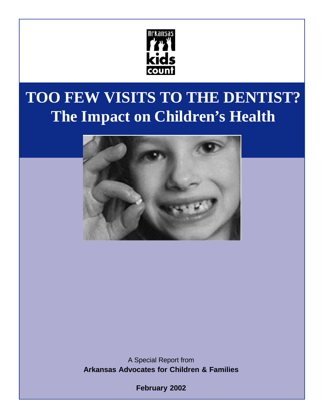

# **TOO FEW VISITS TO THE DENTIST? The Impact on Children's Health**



A Special Report from **Arkansas Advocates for Children & Families**

**February 2002**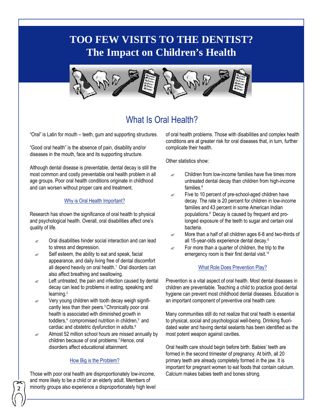# **TOO FEW VISITS TO THE DENTIST? The Impact on Children's Health**



## What Is Oral Health?

"Oral" is Latin for mouth – teeth, gum and supporting structures.

"Good oral health" is the absence of pain, disability and/or diseases in the mouth, face and its supporting structure.

Although dental disease is preventable, dental decay is still the most common and costly preventable oral health problem in all age groups. Poor oral health conditions originate in childhood and can worsen without proper care and treatment.

#### Why is Oral Health Important?

Research has shown the significance of oral health to physical and psychological health. Overall, oral disabilities affect one's quality of life.

- $\mathscr{L}$  Oral disabilities hinder social interaction and can lead to stress and depression.
- $\mathbb{R}$  Self esteem, the ability to eat and speak, facial appearance, and daily living free of dental discomfort all depend heavily on oral health.<sup>1</sup> Oral disorders can also affect breathing and swallowing.
- $\mathscr{L}$  Left untreated, the pain and infection caused by dental decay can lead to problems in eating, speaking and learning.<sup>2</sup>
- $\mathscr{L}$  Very young children with tooth decay weigh significantly less than their peers.3Chronically poor oral health is associated with diminished growth in toddlers,<sup>4</sup> compromised nutrition in children,<sup>5</sup> and cardiac and obstetric dysfunction in adults.<sup>6</sup>
- $\approx$  Almost 52 million school hours are missed annually by children because of oral problems.<sup>7</sup> Hence, oral disorders affect educational attainment.

#### How Big is the Problem?

Those with poor oral health are disproportionately low-income, and more likely to be a child or an elderly adult. Members of minority groups also experience a disproportionately high level

**2**

of oral health problems. Those with disabilities and complex health conditions are at greater risk for oral diseases that, in turn, further complicate their health.

Other statistics show:

- $\mathscr{A}$  Children from low-income families have five times more untreated dental decay than children from high-income families.<sup>6</sup>
- $\epsilon$  Five to 10 percent of pre-school-aged children have decay. The rate is 20 percent for children in low-income families and 43 percent in some American Indian populations.<sup>8</sup> Decay is caused by frequent and prolonged exposure of the teeth to sugar and certain oral bacteria.
- $\approx$  More than a half of all children ages 6-8 and two-thirds of all 15-year-olds experience dental decay.<sup>9</sup>
- $\epsilon$  For more than a quarter of children, the trip to the emergency room is their first dental visit.<sup>10</sup>

#### What Role Does Prevention Play?

Prevention is a vital aspect of oral health. Most dental diseases in children are preventable. Teaching a child to practice good dental hygiene can prevent most childhood dental diseases. Education is an important component of preventive oral health care.

Many communities still do not realize that oral health is essential to physical, social and psychological well-being. Drinking fluoridated water and having dental sealants has been identified as the most potent weapon against cavities.

Oral health care should begin before birth. Babies' teeth are formed in the second trimester of pregnancy. At birth, all 20 primary teeth are already completely formed in the jaw. It is important for pregnant women to eat foods that contain calcium. Calcium makes babies teeth and bones strong.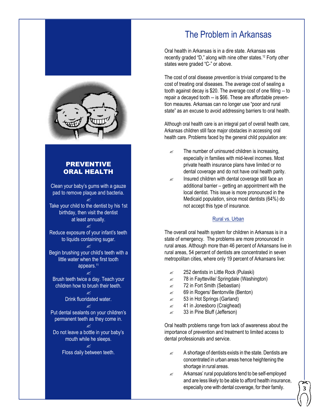



#### PREVENTIVE ORAL HEALTH

Clean your baby's gums with a gauze pad to remove plaque and bacteria.  $\alpha$ 

Take your child to the dentist by his 1st birthday, then visit the dentist at least annually.

 $\mathbb{R}$ Reduce exposure of your infant's teeth to liquids containing sugar.

? Begin brushing your child's teeth with a little water when the first tooth appears.<sup>11</sup>

 $\mathscr{A}$ Brush teeth twice a day. Teach your children how to brush their teeth.

> $\mathbb{R}$ Drink fluoridated water.  $\alpha$

Put dental sealants on your children's permanent teeth as they come in.

? Do not leave a bottle in your baby's mouth while he sleeps.

> $\alpha$ Floss daily between teeth.

# The Problem in Arkansas

Oral health in Arkansas is in a dire state. Arkansas was recently graded "D," along with nine other states.<sup>12</sup> Forty other states were graded "C-" or above.

The cost of oral disease *prevention* is trivial compared to the cost of treating oral diseases. The average cost of sealing a tooth against decay is \$20. The average cost of one filling -- to repair a decayed tooth -- is \$66. These are affordable prevention meaures. Arkansas can no longer use "poor and rural state" as an excuse to avoid addressing barriers to oral health.

Although oral health care is an integral part of overall health care, Arkansas children still face major obstacles in accessing oral health care. Problems faced by the general child population are:

- $\mathscr{L}$  The number of uninsured children is increasing, especially in families with mid-level incomes. Most private health insurance plans have limited or no dental coverage and do not have oral health parity.
- $\mathbb Z$  Insured children with dental coverage still face an additional barrier – getting an appointment with the local dentist. This issue is more pronounced in the Medicaid population, since most dentists (64%) do not accept this type of insurance.

#### Rural vs. Urban

The overall oral health system for children in Arkansas is in a state of emergency. The problems are more pronounced in rural areas. Although more than 46 percent of Arkansans live in rural areas, 54 percent of dentists are concentrated in seven metropolitan cities, where only 19 percent of Arkansans live:

- $\approx$  252 dentists in Little Rock (Pulaski)
- $\approx$  78 in Faytteville/ Springdale (Washington)
- $\approx$  72 in Fort Smith (Sebastian)
- $\approx$  69 in Rogers/ Bentonville (Benton)
- $\approx$  53 in Hot Springs (Garland)
- $\approx$  41 in Jonesboro (Craighead)
- $\approx$  33 in Pine Bluff (Jefferson)

Oral health problems range from lack of awareness about the importance of prevention and treatment to limited access to dental professionals and service.

- $\mathbb{R}$  A shortage of dentists exists in the state. Dentists are concentrated in urban areas hence heightening the shortage in rural areas.
- $\mathscr{A}$  Arkansas' rural populations tend to be self-employed and are less likely to be able to afford health insurance, especially one with dental coverage, for their family.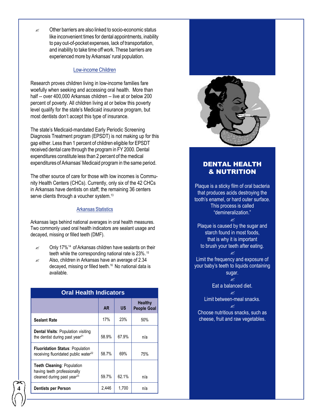$\mathscr{A}$  Other barriers are also linked to socio-economic status like inconvenient times for dental appointments, inability to pay out-of-pocket expenses, lack of transportation, and inability to take time off work. These barriers are experienced more by Arkansas' rural population.

#### Low-income Children

Research proves children living in low-income families fare woefully when seeking and accessing oral health. More than half -- over 400,000 Arkansas children -- live at or below 200 percent of poverty. All children living at or below this poverty level qualify for the state's Medicaid insurance program, but most dentists don't accept this type of insurance.

The state's Medicaid-mandated Early Periodic Screening Diagnosis Treatment program (EPSDT) is not making up for this gap either. Less than 1 percent of children eligible for EPSDT received dental care through the program in FY 2000. Dental expenditures constitute less than 2 percent of the medical expenditures of Arkansas' Medicaid program in the same period.

The other source of care for those with low incomes is Community Health Centers (CHCs). Currently, only six of the 42 CHCs in Arkansas have dentists on staff; the remaining 36 centers serve clients through a voucher system.<sup>13</sup>

#### Arkansas Statistics

Arkansas lags behind national averages in oral health measures. Two commonly used oral health indicators are sealant usage and decayed, missing or filled teeth (DMF).

- $\approx$  Only 17%<sup>14</sup> of Arkansas children have sealants on their teeth while the corresponding national rate is 23%. 15
- $\approx$  Also, children in Arkansas have an average of 2.34 decayed, missing or filled teeth.16 No national data is available.

| <b>Oral Health Indicators</b>                                                                              |           |           |                               |
|------------------------------------------------------------------------------------------------------------|-----------|-----------|-------------------------------|
|                                                                                                            | <b>AR</b> | <b>US</b> | Healthy<br><b>People Goal</b> |
| <b>Sealant Rate</b>                                                                                        | 17%       | 23%       | 50%                           |
| <b>Dental Visits: Population visiting</b><br>the dentist during past year <sup>21</sup>                    | 58.9%     | 67.9%     | n/a                           |
| <b>Fluoridation Status: Population</b><br>receiving fluoridated public water <sup>22</sup>                 | 58.7%     | 69%       | 75%                           |
| <b>Teeth Cleaning: Population</b><br>having teeth professionally<br>cleaned during past year <sup>23</sup> | 59.7%     | 62.1%     | n/a                           |
| <b>Dentists per Person</b>                                                                                 | 2,446     | 1,700     | n/a                           |



#### DENTAL HEALTH & NUTRITION

Plaque is a sticky film of oral bacteria that produces acids destroying the tooth's enamel, or hard outer surface. This process is called "demineralization."  $\alpha$ 

Plaque is caused by the sugar and starch found in most foods, that is why it is important to brush your teeth after eating.

 $\alpha$ Limit the frequency and exposure of your baby's teeth to liquids containing sugar.

$$
\mathcal{L}^{\text{max}}_{\text{max}}
$$

Eat a balanced diet.  $\mathscr{A}$ 

Limit between-meal snacks.  $\mathscr{A}$ 

Choose nutritious snacks, such as cheese, fruit and raw vegetables.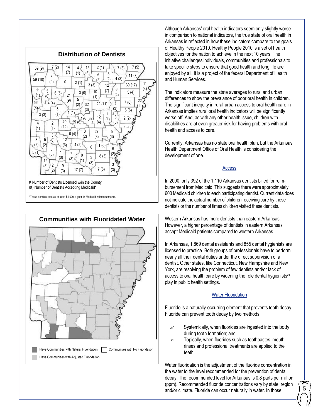



Although Arkansas' oral health indicators seem only slightly worse in comparison to national indicators, the true state of oral health in Arkansas is reflected in how these indicators compare to the goals of Healthy People 2010. Healthy People 2010 is a set of health objectives for the nation to achieve in the next 10 years. The initiative challenges individuals, communities and professionals to take specific steps to ensure that good health and long life are enjoyed by all. It is a project of the federal Department of Health and Human Services.

The indicators measure the state averages to rural and urban differences to show the prevalance of poor oral health in children. The significant inequity in rural-urban access to oral health care in Arkansas implies rural oral health indicators will be significantly worse off. And, as with any other health issue, children with disabilities are at even greater risk for having problems with oral health and access to care.

Currently, Arkansas has no state oral health plan, but the Arkansas Health Department Office of Oral Health is considering the development of one.

#### Access

In 2000, only 392 of the 1,110 Arkansas dentists billed for reimbursement from Medicaid. This suggests there were approximately 600 Medicaid children to each participating dentist. Current data does not indicate the actual number of children receiving care by these dentists or the number of times children visited these dentists.

Western Arkansas has more dentists than eastern Arkansas. However, a higher percentage of dentists in eastern Arkansas accept Medicaid patients compared to western Arkansas.

In Arkansas, 1,869 dental assistants and 855 dental hygienists are licensed to practice. Both groups of professionals have to perform nearly all their dental duties under the direct supervision of a dentist. Other states, like Connecticut, New Hampshire and New York, are resolving the problem of few dentists and/or lack of access to oral health care by widening the role dental hygienists $24$ play in public health settings.

#### Water Fluoridation

Fluoride is a naturally-occurring element that prevents tooth decay. Fluoride can prevent tooth decay by two methods:

- $\mathscr{L}$  Systemically, when fluorides are ingested into the body during tooth formation; and
- $\mathscr{L}$  Topically, when fluorides such as toothpastes, mouth rinses and professional treatments are applied to the teeth.

Water fluoridation is the adjustment of the fluoride concentration in the water to the level recommended for the prevention of dental decay. The recommended level for Arkansas is 0.8 parts per million (ppm). Recommended fluoride concentrations vary by state, region and/or climate. Fluoride can occur naturally in water. In those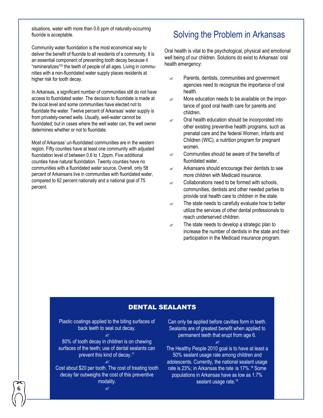situations, water with more than 0.6 ppm of naturally-occurring fluoride is acceptable.

Community water fluoridation is the most economical way to deliver the benefit of fluoride to all residents of a community. It is an essential component of preventing tooth decay because it "remineralizes" 20 the teeth of people of all ages. Living in communities with a non-fluoridated water supply places residents at higher risk for tooth decay.

In Arkansas, a significant number of communities still do not have access to fluoridated water. The decision to fluoridate is made at the local level and some communities have elected not to fluoridate the water. Twelve percent of Arkansas' water supply is from privately-owned wells. Usually, well-water cannot be fluoridated; but in cases where the well water can, the well owner determines whether or not to fluoridate.

Most of Arkansas' un-fluoridated communities are in the western region. Fifty counties have at least one community with adjusted fluoridation level of between 0.6 to 1.2ppm. Five additional counties have natural fluoridation. Twenty counties have no communities with a fluoridated water source**.** Overall, only 58 percent of Arkansans live in communities with fluoridated water, compared to 62 percent nationally and a national goal of 75 percent.

## Solving the Problem in Arkansas

Oral health is vital to the psychological, physical and emotional well being of our children. Solutions do exist to Arkansas' oral health emergency:

- $\mathscr{L}$  Parents, dentists, communities and government agencies need to recognize the importance of oral health.
- $\mathbb Z$  More education needs to be available on the importance of good oral health care for parents and children.
- $\mathscr{A}$  Oral health education should be incorporated into other existing preventive health programs, such as prenatal care and the federal Women, Infants and Children (WIC), a nutrition program for pregnant women.
- $\mathscr{L}$  Communities should be aware of the benefits of fluoridated water.
- $\mathbb{R}$  Arkansans should encourage their dentists to see more children with Medicaid insurance.
- $\mathscr{L}$  Collaborations need to be formed with schools, communities, dentists and other needed parties to provide oral health care to children in the state.
- $\mathbb{R}$  The state needs to carefully evaluate how to better utilize the services of other dental professionals to reach underserved children.
- $\mathscr{L}$  The state needs to develop a strategic plan to increase the number of dentists in the state and their participation in the Medicaid insurance program.

#### DENTAL SEALANTS

Plastic coatings applied to the biting surfaces of back teeth to seal out decay.  $\alpha$ 

80% of tooth decay in children is on chewing surfaces of the teeth; use of dental sealants can prevent this kind of decay.<sup>17</sup> ?

Cost about \$20 per tooth. The cost of treating tooth decay far outweighs the cost of this preventive modality.

**6**

Can only be applied before cavities form in teeth. Sealants are of greatest benefit when applied to permanent teeth that erupt from age 6.

 $\alpha$ 

The Healthy People 2010 goal is to have at least a 50% sealant usage rate among children and adolescents. Currently, the national sealant usage rate is 23%; in Arkansas the rate is 17%.18 Some populations in Arkansas have as low as 1.7% sealant usage rate.<sup>19</sup>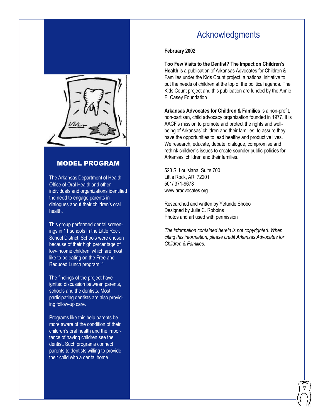

#### MODEL PROGRAM

The Arkansas Department of Health Office of Oral Health and other individuals and organizations identified the need to engage parents in dialogues about their children's oral health.

This group performed dental screenings in 11 schools in the Little Rock School District. Schools were chosen because of their high percentage of low-income children, which are most like to be eating on the Free and Reduced Lunch program.<sup>25</sup>

The findings of the project have ignited discussion between parents, schools and the dentists. Most participating dentists are also providing follow-up care.

Programs like this help parents be more aware of the condition of their children's oral health and the importance of having children see the dentist. Such programs connect parents to dentists willing to provide their child with a dental home.

### Acknowledgments

#### **February 2002**

**Too Few Visits to the Dentist? The Impact on Children's Health** is a publication of Arkansas Advocates for Children & Families under the Kids Count project, a national initiative to put the needs of children at the top of the political agenda. The Kids Count project and this publication are funded by the Annie E. Casey Foundation.

**Arkansas Advocates for Children & Families** is a non-profit, non-partisan, child advocacy organization founded in 1977. It is AACF's mission to promote and protect the rights and wellbeing of Arkansas' children and their families, to assure they have the opportunities to lead healthy and productive lives. We research, educate, debate, dialogue, compromise and rethink children's issues to create sounder public policies for Arkansas' children and their families.

523 S. Louisiana, Suite 700 Little Rock, AR 72201 501/ 371-9678 www.aradvocates.org

Researched and written by Yetunde Shobo Designed by Julie C. Robbins Photos and art used with permission

*The information contained herein is not copyrighted. When citing this information, please credit Arkansas Advocates for Children & Families.*